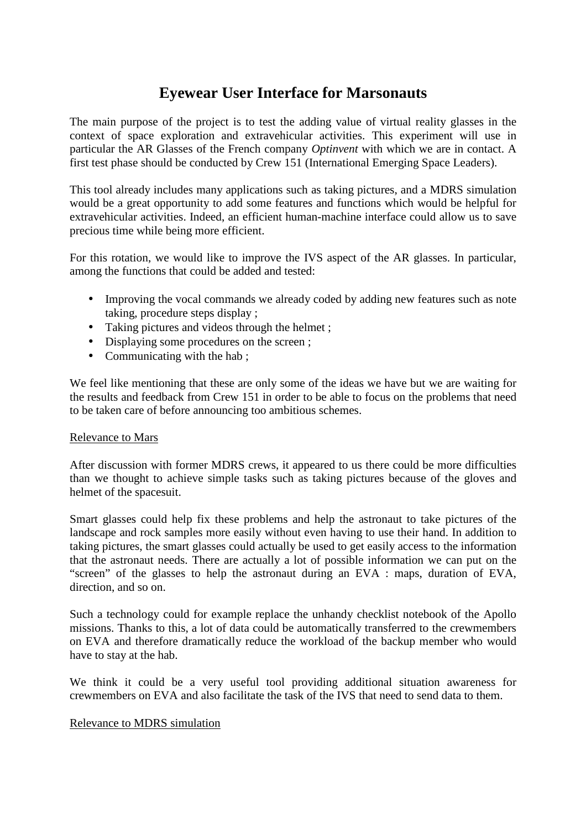## **Eyewear User Interface for Marsonauts**

The main purpose of the project is to test the adding value of virtual reality glasses in the context of space exploration and extravehicular activities. This experiment will use in particular the AR Glasses of the French company *Optinvent* with which we are in contact. A first test phase should be conducted by Crew 151 (International Emerging Space Leaders).

This tool already includes many applications such as taking pictures, and a MDRS simulation would be a great opportunity to add some features and functions which would be helpful for extravehicular activities. Indeed, an efficient human-machine interface could allow us to save precious time while being more efficient.

For this rotation, we would like to improve the IVS aspect of the AR glasses. In particular, among the functions that could be added and tested:

- Improving the vocal commands we already coded by adding new features such as note taking, procedure steps display ;
- Taking pictures and videos through the helmet;
- Displaying some procedures on the screen ;
- Communicating with the hab;

We feel like mentioning that these are only some of the ideas we have but we are waiting for the results and feedback from Crew 151 in order to be able to focus on the problems that need to be taken care of before announcing too ambitious schemes.

## Relevance to Mars

After discussion with former MDRS crews, it appeared to us there could be more difficulties than we thought to achieve simple tasks such as taking pictures because of the gloves and helmet of the spacesuit.

Smart glasses could help fix these problems and help the astronaut to take pictures of the landscape and rock samples more easily without even having to use their hand. In addition to taking pictures, the smart glasses could actually be used to get easily access to the information that the astronaut needs. There are actually a lot of possible information we can put on the "screen" of the glasses to help the astronaut during an EVA : maps, duration of EVA, direction, and so on.

Such a technology could for example replace the unhandy checklist notebook of the Apollo missions. Thanks to this, a lot of data could be automatically transferred to the crewmembers on EVA and therefore dramatically reduce the workload of the backup member who would have to stay at the hab.

We think it could be a very useful tool providing additional situation awareness for crewmembers on EVA and also facilitate the task of the IVS that need to send data to them.

## Relevance to MDRS simulation